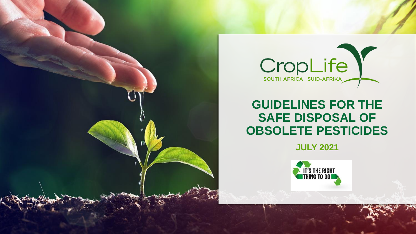

# **GUIDELINES FOR THE SAFE DISPOSAL OF OBSOLETE PESTICIDES**

**JULY 2021**

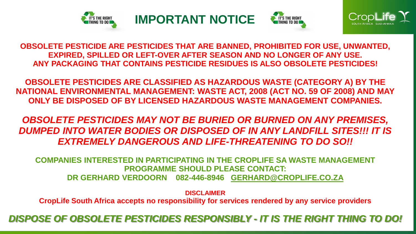







**OBSOLETE PESTICIDE ARE PESTICIDES THAT ARE BANNED, PROHIBITED FOR USE, UNWANTED, EXPIRED, SPILLED OR LEFT-OVER AFTER SEASON AND NO LONGER OF ANY USE. ANY PACKAGING THAT CONTAINS PESTICIDE RESIDUES IS ALSO OBSOLETE PESTICIDES!**

**OBSOLETE PESTICIDES ARE CLASSIFIED AS HAZARDOUS WASTE (CATEGORY A) BY THE NATIONAL ENVIRONMENTAL MANAGEMENT: WASTE ACT, 2008 (ACT NO. 59 OF 2008) AND MAY ONLY BE DISPOSED OF BY LICENSED HAZARDOUS WASTE MANAGEMENT COMPANIES.**

*OBSOLETE PESTICIDES MAY NOT BE BURIED OR BURNED ON ANY PREMISES, DUMPED INTO WATER BODIES OR DISPOSED OF IN ANY LANDFILL SITES!!! IT IS EXTREMELY DANGEROUS AND LIFE-THREATENING TO DO SO!!*

**COMPANIES INTERESTED IN PARTICIPATING IN THE CROPLIFE SA WASTE MANAGEMENT PROGRAMME SHOULD PLEASE CONTACT: DR GERHARD VERDOORN 082-446-8946 [GERHARD@CROPLIFE.CO.ZA](mailto:GERHARD@CROPLIFE.CO.ZA)**

**DISCLAIMER**

**CropLife South Africa accepts no responsibility for services rendered by any service providers**

*DISPOSE OF OBSOLETE PESTICIDES RESPONSIBLY - IT IS THE RIGHT THING TO DO!*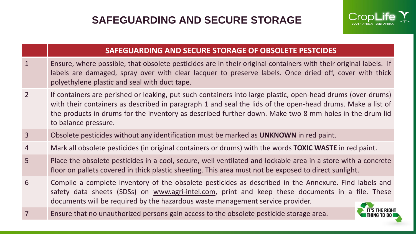

### **SAFEGUARDING AND SECURE STORAGE OF OBSOLETE PESTCIDES**

- 1 Ensure, where possible, that obsolete pesticides are in their original containers with their original labels. If labels are damaged, spray over with clear lacquer to preserve labels. Once dried off, cover with thick polyethylene plastic and seal with duct tape.
- 2 If containers are perished or leaking, put such containers into large plastic, open-head drums (over-drums) with their containers as described in paragraph 1 and seal the lids of the open-head drums. Make a list of the products in drums for the inventory as described further down. Make two 8 mm holes in the drum lid to balance pressure.
- 3 Obsolete pesticides without any identification must be marked as **UNKNOWN** in red paint.
- 4 Mark all obsolete pesticides (in original containers or drums) with the words **TOXIC WASTE** in red paint.
- 5 Place the obsolete pesticides in a cool, secure, well ventilated and lockable area in a store with a concrete floor on pallets covered in thick plastic sheeting. This area must not be exposed to direct sunlight.
- 6 Compile a complete inventory of the obsolete pesticides as described in the Annexure. Find labels and safety data sheets (SDSs) on [www.agri-intel.com](http://www.agri-intel.com/), print and keep these documents in a file. These documents will be required by the hazardous waste management service provider.
- 7 Ensure that no unauthorized persons gain access to the obsolete pesticide storage area.

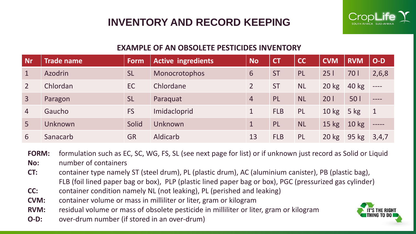## **INVENTORY AND RECORD KEEPING**



### **EXAMPLE OF AN OBSOLETE PESTICIDES INVENTORY**

| <b>Nr</b>      | <b>Trade name</b> | Form      | <b>Active ingredients</b> | No             | <b>CT</b>  | <b>CC</b> | <b>CVM</b>      | <b>RVM</b>       | $O-D$                     |
|----------------|-------------------|-----------|---------------------------|----------------|------------|-----------|-----------------|------------------|---------------------------|
| $\mathbf{1}$   | <b>Azodrin</b>    | <b>SL</b> | Monocrotophos             | 6              | <b>ST</b>  | <b>PL</b> | 251             | <b>701</b>       | 2,6,8                     |
| $\overline{2}$ | Chlordan          | EC        | Chlordane                 | $\overline{2}$ | <b>ST</b>  | <b>NL</b> | $20 \text{ kg}$ | 40 kg            | $---$                     |
| $\overline{3}$ | Paragon           | <b>SL</b> | Paraquat                  | $\overline{4}$ | PL         | <b>NL</b> | 201             | 50 l             | $---$                     |
| $\overline{4}$ | Gaucho            | <b>FS</b> | Imidacloprid              | 1              | <b>FLB</b> | <b>PL</b> | $10 \text{ kg}$ | $5$ kg           | $\vert$ 1                 |
| 5 <sub>1</sub> | Unknown           | Solid     | Unknown                   |                | PL         | <b>NL</b> | $15$ kg         | 10 <sub>kg</sub> | $\qquad \qquad - - - - -$ |
| 6              | Sanacarb          | <b>GR</b> | <b>Aldicarb</b>           | 13             | <b>FLB</b> | <b>PL</b> | $20 \text{ kg}$ | 95 kg            | 3,4,7                     |

**FORM:** formulation such as EC, SC, WG, FS, SL (see next page for list) or if unknown just record as Solid or Liquid

**No:** number of containers

- **CT:** container type namely ST (steel drum), PL (plastic drum), AC (aluminium canister), PB (plastic bag), FLB (foil lined paper bag or box), PLP (plastic lined paper bag or box), PGC (pressurized gas cylinder)
- **CC:** container condition namely NL (not leaking), PL (perished and leaking)
- **CVM:** container volume or mass in milliliter or liter, gram or kilogram

**RVM:** residual volume or mass of obsolete pesticide in milliliter or liter, gram or kilogram

**O-D:** over-drum number (if stored in an over-drum)

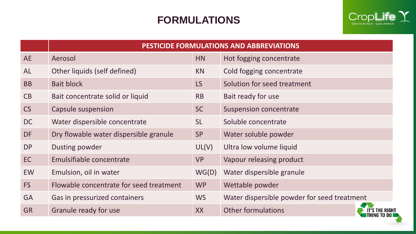### **FORMULATIONS**



|           | PESTICIDE FORMULATIONS AND ABBREVIATIONS |           |                                             |  |  |  |  |
|-----------|------------------------------------------|-----------|---------------------------------------------|--|--|--|--|
| <b>AE</b> | Aerosol                                  | <b>HN</b> | Hot fogging concentrate                     |  |  |  |  |
| <b>AL</b> | Other liquids (self defined)             | <b>KN</b> | Cold fogging concentrate                    |  |  |  |  |
| <b>BB</b> | <b>Bait block</b>                        | LS        | Solution for seed treatment                 |  |  |  |  |
| CB        | Bait concentrate solid or liquid         | <b>RB</b> | Bait ready for use                          |  |  |  |  |
| <b>CS</b> | Capsule suspension                       | <b>SC</b> | <b>Suspension concentrate</b>               |  |  |  |  |
| <b>DC</b> | Water dispersible concentrate            | <b>SL</b> | Soluble concentrate                         |  |  |  |  |
| <b>DF</b> | Dry flowable water dispersible granule   | <b>SP</b> | Water soluble powder                        |  |  |  |  |
| <b>DP</b> | Dusting powder                           | UL(V)     | Ultra low volume liquid                     |  |  |  |  |
| EC        | Emulsifiable concentrate                 | <b>VP</b> | Vapour releasing product                    |  |  |  |  |
| EW        | Emulsion, oil in water                   | WG(D)     | Water dispersible granule                   |  |  |  |  |
| FS        | Flowable concentrate for seed treatment  | <b>WP</b> | Wettable powder                             |  |  |  |  |
| <b>GA</b> | Gas in pressurized containers            | <b>WS</b> | Water dispersible powder for seed treatment |  |  |  |  |
| <b>GR</b> | Granule ready for use                    | <b>XX</b> | <b>Other formulations</b><br>e Right        |  |  |  |  |